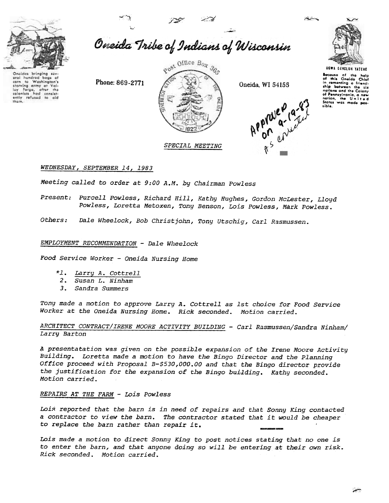

eral hundred bags of Washington's

lay Forge, after the<br>colonists had consist-<br>ently refused to aid

corn to Washing<br>starving army at

Oneida Tribe of Indians of Wisconsin

Phone: 869-2771



Oneida, WI 54155





UGWA DENOLUN YATEHE

Because of the help<br>of this Oneida Chief in cementing a friend-<br>ship between the six<br>nations and the Colony nations and the Common<br>of Pennsylvania, a ne<br>nation, the Unite ot recovery<br>nation, the Unity<br>States was made pos-States

# WEDNESDAY, SEPTEMBER 14, 1983

Meeting called to order at 9:00 A.M. by Chairman Powless

Present: Purcell Powless, Richard Hill, Kathy Hughes, Gordon McLester, Lloyd Powless, Loretta Metoxen, Tony Benson, Lois Powless, Mark Powless.

Others: Dale Wheelock, Bob Christjohn, Tony Utschig, Carl Rasmussen.

### EMPLOYMENT RECOMMENDATION - Dale Wheelock

Food Service Worker - Oneida Nursing Home

- \*1. Larry A. Cottrell
- 2. Susan L. Ninham
- 3. Sandra Summers

Tony made a motion to approve Larry A. Cottrell as 1st choice for Food Service Worker at the Oneida Nursing Home. Rick seconded. Motion carried.

ARCHITECT CONTRACT/IRENE MOORE ACTIVITY BUILDING - Carl Rasmussen/Sandra Ninham/ Larry Barton

A presentatation was given on the possible expansion of the Irene Moore Activity Building. Loretta made a motion to have the Bingo Director and the Planning Office proceed with Proposal B-\$530,000.00 and that the Bingo director provide the justification for the expansion of the Bingo building. Kathy seconded. Motion carried.

## REPAIRS AT THE FARM - Lois Powless

Lois reported that the barn is in need of repairs and that Sonny King contacted a contractor to view the barn. The contractor stated that it would be cheaper to replace the barn rather than repair it.

Lois made a motion to direct Sonny King to post notices stating that no one is to enter the barn, and that anyone doing so will be entering at their own risk. Rick seconded. Motion carried.